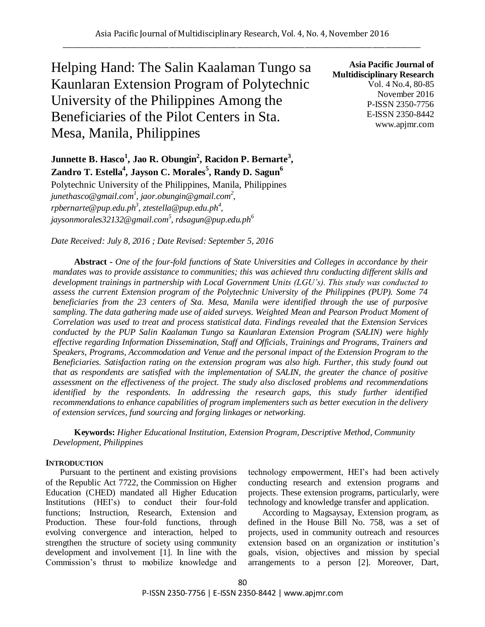Helping Hand: The Salin Kaalaman Tungo sa Kaunlaran Extension Program of Polytechnic University of the Philippines Among the Beneficiaries of the Pilot Centers in Sta. Mesa, Manila, Philippines

**Asia Pacific Journal of Multidisciplinary Research** Vol. 4 No.4, 80-85 November 2016 P-ISSN 2350-7756 E-ISSN 2350-8442 www.apjmr.com

**Junnette B. Hasco<sup>1</sup> , Jao R. Obungin<sup>2</sup> , Racidon P. Bernarte<sup>3</sup> , Zandro T. Estella<sup>4</sup> , Jayson C. Morales<sup>5</sup> , Randy D. Sagun<sup>6</sup>**

Polytechnic University of the Philippines, Manila, Philippines *junethasco@gmail.com<sup>1</sup> , jaor.obungin@gmail.com 2 , rpbernarte@pup.edu.ph<sup>3</sup> , ztestella@pup.edu.ph<sup>4</sup> , jaysonmorales32132@gmail.com<sup>5</sup> , rdsagun@pup.edu.ph<sup>6</sup>*

*Date Received: July 8, 2016 ; Date Revised: September 5, 2016*

**Abstract -** *One of the four-fold functions of State Universities and Colleges in accordance by their mandates was to provide assistance to communities; this was achieved thru conducting different skills and development trainings in partnership with Local Government Units (LGU's). This study was conducted to assess the current Extension program of the Polytechnic University of the Philippines (PUP). Some 74 beneficiaries from the 23 centers of Sta. Mesa, Manila were identified through the use of purposive sampling. The data gathering made use of aided surveys. Weighted Mean and Pearson Product Moment of Correlation was used to treat and process statistical data. Findings revealed that the Extension Services conducted by the PUP Salin Kaalaman Tungo sa Kaunlaran Extension Program (SALIN) were highly effective regarding Information Dissemination, Staff and Officials, Trainings and Programs, Trainers and Speakers, Programs, Accommodation and Venue and the personal impact of the Extension Program to the Beneficiaries. Satisfaction rating on the extension program was also high. Further, this study found out that as respondents are satisfied with the implementation of SALIN, the greater the chance of positive assessment on the effectiveness of the project. The study also disclosed problems and recommendations identified by the respondents. In addressing the research gaps, this study further identified recommendations to enhance capabilities of program implementers such as better execution in the delivery of extension services, fund sourcing and forging linkages or networking.*

**Keywords:** *Higher Educational Institution, Extension Program, Descriptive Method, Community Development, Philippines*

# **INTRODUCTION**

Pursuant to the pertinent and existing provisions of the Republic Act 7722, the Commission on Higher Education (CHED) mandated all Higher Education Institutions (HEI's) to conduct their four-fold functions; Instruction, Research, Extension and Production. These four-fold functions, through evolving convergence and interaction, helped to strengthen the structure of society using community development and involvement [1]. In line with the Commission's thrust to mobilize knowledge and

technology empowerment, HEI's had been actively conducting research and extension programs and projects. These extension programs, particularly, were technology and knowledge transfer and application.

According to Magsaysay, Extension program, as defined in the House Bill No. 758, was a set of projects, used in community outreach and resources extension based on an organization or institution's goals, vision, objectives and mission by special arrangements to a person [2]. Moreover, Dart,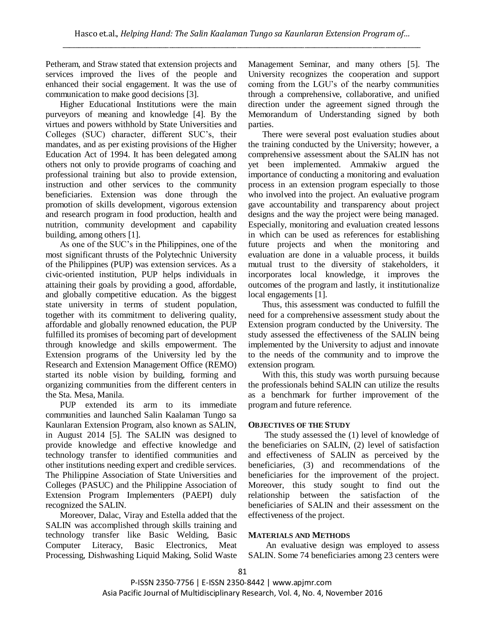Petheram, and Straw stated that extension projects and services improved the lives of the people and enhanced their social engagement. It was the use of communication to make good decisions [3].

Higher Educational Institutions were the main purveyors of meaning and knowledge [4]. By the virtues and powers withhold by State Universities and Colleges (SUC) character, different SUC's, their mandates, and as per existing provisions of the Higher Education Act of 1994. It has been delegated among others not only to provide programs of coaching and professional training but also to provide extension, instruction and other services to the community beneficiaries. Extension was done through the promotion of skills development, vigorous extension and research program in food production, health and nutrition, community development and capability building, among others [1].

As one of the SUC's in the Philippines, one of the most significant thrusts of the Polytechnic University of the Philippines (PUP) was extension services. As a civic-oriented institution, PUP helps individuals in attaining their goals by providing a good, affordable, and globally competitive education. As the biggest state university in terms of student population, together with its commitment to delivering quality, affordable and globally renowned education, the PUP fulfilled its promises of becoming part of development through knowledge and skills empowerment. The Extension programs of the University led by the Research and Extension Management Office (REMO) started its noble vision by building, forming and organizing communities from the different centers in the Sta. Mesa, Manila.

PUP extended its arm to its immediate communities and launched Salin Kaalaman Tungo sa Kaunlaran Extension Program, also known as SALIN, in August 2014 [5]. The SALIN was designed to provide knowledge and effective knowledge and technology transfer to identified communities and other institutions needing expert and credible services. The Philippine Association of State Universities and Colleges (PASUC) and the Philippine Association of Extension Program Implementers (PAEPI) duly recognized the SALIN.

Moreover, Dalac, Viray and Estella added that the SALIN was accomplished through skills training and technology transfer like Basic Welding, Basic Computer Literacy, Basic Electronics, Meat Processing, Dishwashing Liquid Making, Solid Waste

Management Seminar, and many others [5]. The University recognizes the cooperation and support coming from the LGU's of the nearby communities through a comprehensive, collaborative, and unified direction under the agreement signed through the Memorandum of Understanding signed by both parties.

There were several post evaluation studies about the training conducted by the University; however, a comprehensive assessment about the SALIN has not yet been implemented. Ammakiw argued the importance of conducting a monitoring and evaluation process in an extension program especially to those who involved into the project. An evaluative program gave accountability and transparency about project designs and the way the project were being managed. Especially, monitoring and evaluation created lessons in which can be used as references for establishing future projects and when the monitoring and evaluation are done in a valuable process, it builds mutual trust to the diversity of stakeholders, it incorporates local knowledge, it improves the outcomes of the program and lastly, it institutionalize local engagements [1].

Thus, this assessment was conducted to fulfill the need for a comprehensive assessment study about the Extension program conducted by the University. The study assessed the effectiveness of the SALIN being implemented by the University to adjust and innovate to the needs of the community and to improve the extension program.

With this, this study was worth pursuing because the professionals behind SALIN can utilize the results as a benchmark for further improvement of the program and future reference.

# **OBJECTIVES OF THE STUDY**

The study assessed the (1) level of knowledge of the beneficiaries on SALIN, (2) level of satisfaction and effectiveness of SALIN as perceived by the beneficiaries, (3) and recommendations of the beneficiaries for the improvement of the project. Moreover, this study sought to find out the relationship between the satisfaction of the beneficiaries of SALIN and their assessment on the effectiveness of the project.

# **MATERIALS AND METHODS**

An evaluative design was employed to assess SALIN. Some 74 beneficiaries among 23 centers were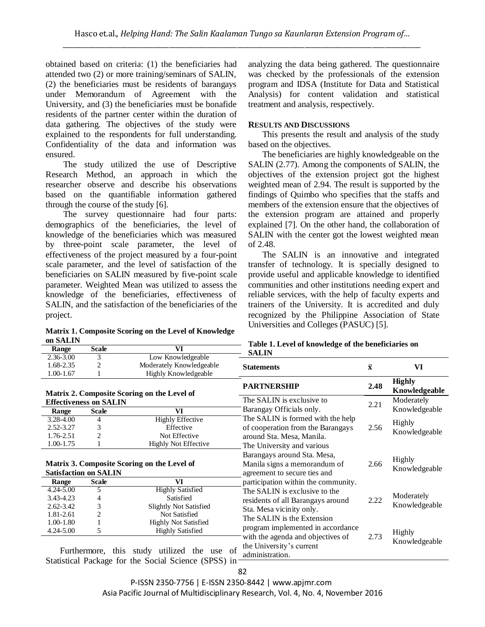obtained based on criteria: (1) the beneficiaries had attended two (2) or more training/seminars of SALIN, (2) the beneficiaries must be residents of barangays under Memorandum of Agreement with the University, and (3) the beneficiaries must be bonafide residents of the partner center within the duration of data gathering. The objectives of the study were explained to the respondents for full understanding. Confidentiality of the data and information was ensured.

The study utilized the use of Descriptive Research Method, an approach in which the researcher observe and describe his observations based on the quantifiable information gathered through the course of the study [6].

The survey questionnaire had four parts: demographics of the beneficiaries, the level of knowledge of the beneficiaries which was measured by three-point scale parameter, the level of effectiveness of the project measured by a four-point scale parameter, and the level of satisfaction of the beneficiaries on SALIN measured by five-point scale parameter. Weighted Mean was utilized to assess the knowledge of the beneficiaries, effectiveness of SALIN, and the satisfaction of the beneficiaries of the project.

**Matrix 1. Composite Scoring on the Level of Knowledge on SALIN**

analyzing the data being gathered. The questionnaire was checked by the professionals of the extension program and IDSA (Institute for Data and Statistical Analysis) for content validation and statistical treatment and analysis, respectively.

# **RESULTS AND DISCUSSIONS**

This presents the result and analysis of the study based on the objectives.

The beneficiaries are highly knowledgeable on the SALIN (2.77). Among the components of SALIN, the objectives of the extension project got the highest weighted mean of 2.94. The result is supported by the findings of Quimbo who specifies that the staffs and members of the extension ensure that the objectives of the extension program are attained and properly explained [7]. On the other hand, the collaboration of SALIN with the center got the lowest weighted mean of 2.48.

The SALIN is an innovative and integrated transfer of technology. It is specially designed to provide useful and applicable knowledge to identified communities and other institutions needing expert and reliable services, with the help of faculty experts and trainers of the University. It is accredited and duly recognized by the Philippine Association of State Universities and Colleges (PASUC) [5].

| Range                                       | <b>Scale</b> | VI                                                                                                  | Tuble 1. Level of Knowledge of the beneficial les on<br><b>SALIN</b>             |                    |                                |  |
|---------------------------------------------|--------------|-----------------------------------------------------------------------------------------------------|----------------------------------------------------------------------------------|--------------------|--------------------------------|--|
| 2.36-3.00                                   | 3            | Low Knowledgeable                                                                                   |                                                                                  |                    |                                |  |
| 1.68-2.35                                   | 2            | Moderately Knowledgeable                                                                            | <b>Statements</b>                                                                | $\bar{\mathbf{X}}$ | VI                             |  |
| 1.00-1.67                                   |              | <b>Highly Knowledgeable</b>                                                                         |                                                                                  |                    |                                |  |
|                                             |              | Matrix 2. Composite Scoring on the Level of                                                         | <b>PARTNERSHIP</b>                                                               | 2.48               | <b>Highly</b><br>Knowledgeable |  |
| <b>Effectiveness on SALIN</b>               |              |                                                                                                     | The SALIN is exclusive to                                                        | 2.21               | Moderately                     |  |
| Range                                       | <b>Scale</b> | VI                                                                                                  | Barangay Officials only.                                                         |                    | Knowledgeable                  |  |
| 3.28-4.00                                   | 4            | <b>Highly Effective</b>                                                                             | The SALIN is formed with the help                                                |                    | <b>Highly</b>                  |  |
| 2.52-3.27                                   | 3            | Effective                                                                                           | of cooperation from the Barangays                                                | 2.56               |                                |  |
| 1.76-2.51                                   | 2            | Not Effective                                                                                       | around Sta. Mesa, Manila.                                                        |                    | Knowledgeable                  |  |
| $1.00 - 1.75$                               |              | <b>Highly Not Effective</b>                                                                         | The University and various                                                       |                    |                                |  |
|                                             |              |                                                                                                     | Barangays around Sta. Mesa,                                                      |                    |                                |  |
| Matrix 3. Composite Scoring on the Level of |              |                                                                                                     | Manila signs a memorandum of                                                     | 2.66               | Highly                         |  |
| <b>Satisfaction on SALIN</b>                |              |                                                                                                     | agreement to secure ties and                                                     |                    | Knowledgeable                  |  |
| Range                                       | <b>Scale</b> | VI                                                                                                  | participation within the community.                                              |                    |                                |  |
| 4.24-5.00                                   | 5            | <b>Highly Satisfied</b>                                                                             | The SALIN is exclusive to the                                                    |                    |                                |  |
| 3.43-4.23                                   | 4            | Satisfied                                                                                           | residents of all Barangays around                                                | 2.22               | Moderately                     |  |
| $2.62 - 3.42$                               | 3            | <b>Slightly Not Satisfied</b>                                                                       | Sta. Mesa vicinity only.                                                         |                    | Knowledgeable                  |  |
| 1.81-2.61                                   | 2            | Not Satisfied                                                                                       | The SALIN is the Extension                                                       |                    |                                |  |
| 1.00-1.80                                   |              | <b>Highly Not Satisfied</b>                                                                         |                                                                                  |                    |                                |  |
| $4.24 - 5.00$                               | 5            | <b>Highly Satisfied</b>                                                                             | program implemented in accordance                                                |                    | <b>Highly</b>                  |  |
|                                             |              | Furthermore, this study utilized the use of<br>Statistical Package for the Social Science (SPSS) in | with the agenda and objectives of<br>the University's current<br>administration. | 2.73               | Knowledgeable                  |  |

# **Table 1. Level of knowledge of the beneficiaries on**

P-ISSN 2350-7756 | E-ISSN 2350-8442 | www.apjmr.com Asia Pacific Journal of Multidisciplinary Research, Vol. 4, No. 4, November 2016

# 82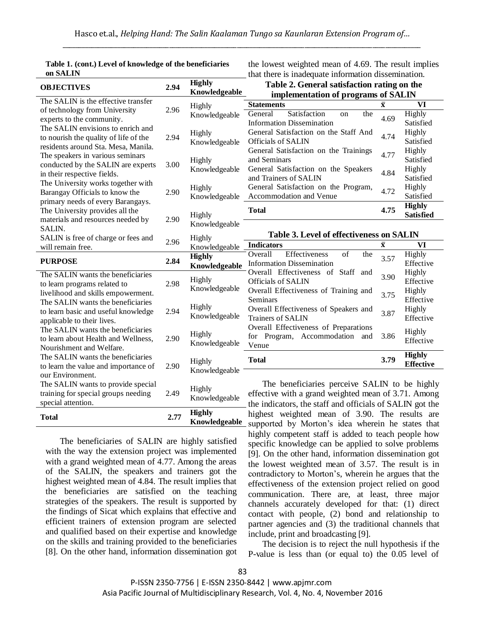| он элтин                                                 |      |                                | that there is madequate information dissemination.                                 |                         |                  |
|----------------------------------------------------------|------|--------------------------------|------------------------------------------------------------------------------------|-------------------------|------------------|
| <b>OBJECTIVES</b>                                        | 2.94 | <b>Highly</b><br>Knowledgeable | Table 2. General satisfaction rating on the<br>implementation of programs of SALIN |                         |                  |
| The SALIN is the effective transfer                      |      | Highly                         | <b>Statements</b>                                                                  | $\overline{\mathbf{X}}$ | <b>VI</b>        |
| of technology from University                            | 2.96 | Knowledgeable                  | Satisfaction<br>General<br>the<br>on                                               |                         | Highly           |
| experts to the community.                                |      |                                | <b>Information Dissemination</b>                                                   | 4.69                    | Satisfied        |
| The SALIN envisions to enrich and                        |      | Highly                         | General Satisfaction on the Staff And                                              |                         | Highly           |
| to nourish the quality of life of the                    | 2.94 | Knowledgeable                  | <b>Officials of SALIN</b>                                                          | 4.74                    | Satisfied        |
| residents around Sta. Mesa, Manila.                      |      |                                | General Satisfaction on the Trainings                                              |                         | Highly           |
| The speakers in various seminars                         | 3.00 | Highly<br>Knowledgeable        | and Seminars                                                                       | 4.77                    | Satisfied        |
| conducted by the SALIN are experts                       |      |                                | General Satisfaction on the Speakers                                               |                         | Highly           |
| in their respective fields.                              |      |                                | and Trainers of SALIN                                                              | 4.84                    | Satisfied        |
| The University works together with                       | 2.90 | Highly<br>Knowledgeable        | General Satisfaction on the Program,                                               | 4.72                    | Highly           |
| Barangay Officials to know the                           |      |                                | Accommodation and Venue                                                            |                         | Satisfied        |
| primary needs of every Barangays.                        |      |                                |                                                                                    |                         | <b>Highly</b>    |
| The University provides all the                          |      | Highly                         | <b>Total</b>                                                                       | 4.75                    | <b>Satisfied</b> |
| materials and resources needed by                        | 2.90 | Knowledgeable                  |                                                                                    |                         |                  |
| SALIN.                                                   |      |                                | Table 3. Level of effectiveness on SALIN                                           |                         |                  |
| SALIN is free of charge or fees and<br>will remain free. | 2.96 | Highly<br>Knowledgeable        | <b>Indicators</b>                                                                  | $\bar{\mathbf{x}}$      | VI               |
|                                                          |      | <b>Highly</b>                  | Effectiveness<br>of<br>the<br>Overall                                              |                         | Highly           |
| <b>PURPOSE</b>                                           | 2.84 | Knowledgeable                  | <b>Information Dissemination</b>                                                   | 3.57                    | Effective        |
| The SALIN wants the beneficiaries                        |      |                                | Overall Effectiveness of Staff and                                                 |                         | Highly           |
| to learn programs related to                             | 2.98 | Highly                         | Officials of SALIN                                                                 | 3.90                    | Effective        |
| livelihood and skills empowerment.                       |      | Knowledgeable                  | Overall Effectiveness of Training and                                              | 3.75                    | Highly           |
| The SALIN wants the beneficiaries                        |      |                                | <b>Seminars</b>                                                                    |                         | Effective        |
| to learn basic and useful knowledge                      | 2.94 | Highly                         | Overall Effectiveness of Speakers and                                              | 3.87                    | Highly           |
| applicable to their lives.                               |      | Knowledgeable                  | Trainers of SALIN                                                                  |                         | Effective        |
| The SALIN wants the beneficiaries                        |      |                                | Overall Effectiveness of Preparations                                              |                         | Highly           |
| to learn about Health and Wellness,                      | 2.90 | Highly                         | for Program, Accommodation and                                                     | 3.86                    | Effective        |
| Nourishment and Welfare.                                 |      | Knowledgeable                  | Venue                                                                              |                         |                  |
| The SALIN wants the beneficiaries                        |      |                                | <b>Total</b>                                                                       | 3.79                    | <b>Highly</b>    |
| to learn the value and importance of                     | 2.90 | Highly                         |                                                                                    |                         | <b>Effective</b> |
| our Environment.                                         |      | Knowledgeable                  |                                                                                    |                         |                  |
| The SALIN wants to provide special                       |      |                                | The beneficiaries perceive SALIN to be highly                                      |                         |                  |
| training for special groups needing                      | 2.49 | Highly                         | effective with a grand weighted mean of 3.71. Among                                |                         |                  |
| special attention.                                       |      | Knowledgeable                  | the indicators, the staff and officials of SALIN got the                           |                         |                  |
|                                                          |      | <b>Highly</b>                  | highest weighted mean of 3.90. The results are                                     |                         |                  |
| <b>Total</b>                                             | 2.77 |                                |                                                                                    |                         |                  |

| Table 1. (cont.) Level of knowledge of the beneficiaries |
|----------------------------------------------------------|
| on SALIN                                                 |

the lowest weighted mean of 4.69. The result implies that there is inadequate information dissemination.

The beneficiaries of SALIN are highly satisfied with the way the extension project was implemented with a grand weighted mean of 4.77. Among the areas of the SALIN, the speakers and trainers got the highest weighted mean of 4.84. The result implies that the beneficiaries are satisfied on the teaching strategies of the speakers. The result is supported by the findings of Sicat which explains that effective and efficient trainers of extension program are selected and qualified based on their expertise and knowledge on the skills and training provided to the beneficiaries [8]. On the other hand, information dissemination got

**Knowledgeable** supported by Morton's idea wherein he states that highly competent staff is added to teach people how specific knowledge can be applied to solve problems [9]. On the other hand, information dissemination got the lowest weighted mean of 3.57. The result is in contradictory to Morton's, wherein he argues that the effectiveness of the extension project relied on good communication. There are, at least, three major channels accurately developed for that: (1) direct contact with people, (2) bond and relationship to partner agencies and (3) the traditional channels that include, print and broadcasting [9].

> The decision is to reject the null hypothesis if the P-value is less than (or equal to) the 0.05 level of

P-ISSN 2350-7756 | E-ISSN 2350-8442 | www.apjmr.com Asia Pacific Journal of Multidisciplinary Research, Vol. 4, No. 4, November 2016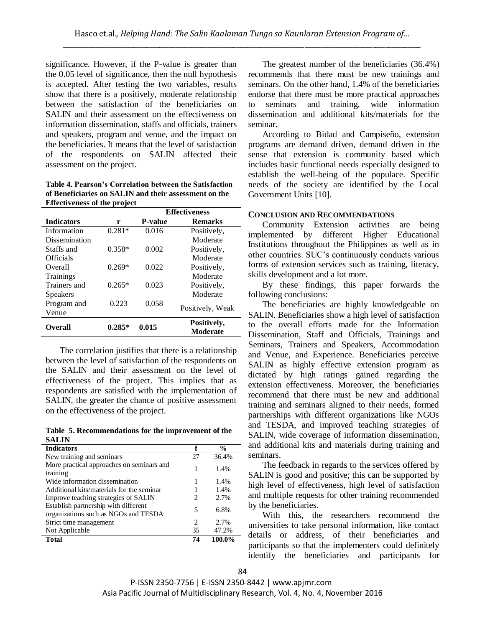significance. However, if the P-value is greater than the 0.05 level of significance, then the null hypothesis is accepted. After testing the two variables, results show that there is a positively, moderate relationship between the satisfaction of the beneficiaries on SALIN and their assessment on the effectiveness on information dissemination, staffs and officials, trainers and speakers, program and venue, and the impact on the beneficiaries. It means that the level of satisfaction of the respondents on SALIN affected their assessment on the project.

**Table 4. Pearson's Correlation between the Satisfaction of Beneficiaries on SALIN and their assessment on the Effectiveness of the project**

|                   |          | <b>Effectiveness</b> |                  |  |
|-------------------|----------|----------------------|------------------|--|
| <b>Indicators</b> | r        | <b>P-value</b>       | <b>Remarks</b>   |  |
| Information       | $0.281*$ | 0.016                | Positively,      |  |
| Dissemination     |          |                      | Moderate         |  |
| Staffs and        | $0.358*$ | 0.002                | Positively,      |  |
| <b>Officials</b>  |          |                      | Moderate         |  |
| Overall           | $0.269*$ | 0.022                | Positively,      |  |
| Trainings         |          |                      | Moderate         |  |
| Trainers and      | $0.265*$ | 0.023                | Positively,      |  |
| Speakers          |          |                      | Moderate         |  |
| Program and       | 0.223    | 0.058                |                  |  |
| Venue             |          |                      | Positively, Weak |  |
| <b>Overall</b>    | $0.285*$ | 0.015                | Positively,      |  |
|                   |          |                      | Moderate         |  |

The correlation justifies that there is a relationship between the level of satisfaction of the respondents on the SALIN and their assessment on the level of effectiveness of the project. This implies that as respondents are satisfied with the implementation of SALIN, the greater the chance of positive assessment on the effectiveness of the project.

**Table 5. Recommendations for the improvement of the SALIN**

| <b>Indicators</b>                         | f  | $\frac{0}{0}$ |
|-------------------------------------------|----|---------------|
| New training and seminars                 | 27 | 36.4%         |
| More practical approaches on seminars and |    | 1.4%          |
| training                                  |    |               |
| Wide information dissemination            |    | 1.4%          |
| Additional kits/materials for the seminar |    | 1.4%          |
| Improve teaching strategies of SALIN      | 2  | 2.7%          |
| Establish partnership with different      | 5  | 6.8%          |
| organizations such as NGOs and TESDA      |    |               |
| Strict time management                    | 2  | 2.7%          |
| Not Applicable                            | 35 | 47.2%         |
| <b>Total</b>                              | 74 | 100.0%        |
|                                           |    |               |

The greatest number of the beneficiaries (36.4%) recommends that there must be new trainings and seminars. On the other hand, 1.4% of the beneficiaries endorse that there must be more practical approaches to seminars and training, wide information dissemination and additional kits/materials for the seminar.

According to Bidad and Campiseño, extension programs are demand driven, demand driven in the sense that extension is community based which includes basic functional needs especially designed to establish the well-being of the populace. Specific needs of the society are identified by the Local Government Units [10].

#### **CONCLUSION AND RECOMMENDATIONS**

Community Extension activities are being implemented by different Higher Educational Institutions throughout the Philippines as well as in other countries. SUC's continuously conducts various forms of extension services such as training, literacy, skills development and a lot more.

By these findings, this paper forwards the following conclusions:

The beneficiaries are highly knowledgeable on SALIN. Beneficiaries show a high level of satisfaction to the overall efforts made for the Information Dissemination, Staff and Officials, Trainings and Seminars, Trainers and Speakers, Accommodation and Venue, and Experience. Beneficiaries perceive SALIN as highly effective extension program as dictated by high ratings gained regarding the extension effectiveness. Moreover, the beneficiaries recommend that there must be new and additional training and seminars aligned to their needs, formed partnerships with different organizations like NGOs and TESDA, and improved teaching strategies of SALIN, wide coverage of information dissemination, and additional kits and materials during training and seminars.

The feedback in regards to the services offered by SALIN is good and positive; this can be supported by high level of effectiveness, high level of satisfaction and multiple requests for other training recommended by the beneficiaries.

With this, the researchers recommend the universities to take personal information, like contact details or address, of their beneficiaries and participants so that the implementers could definitely identify the beneficiaries and participants for